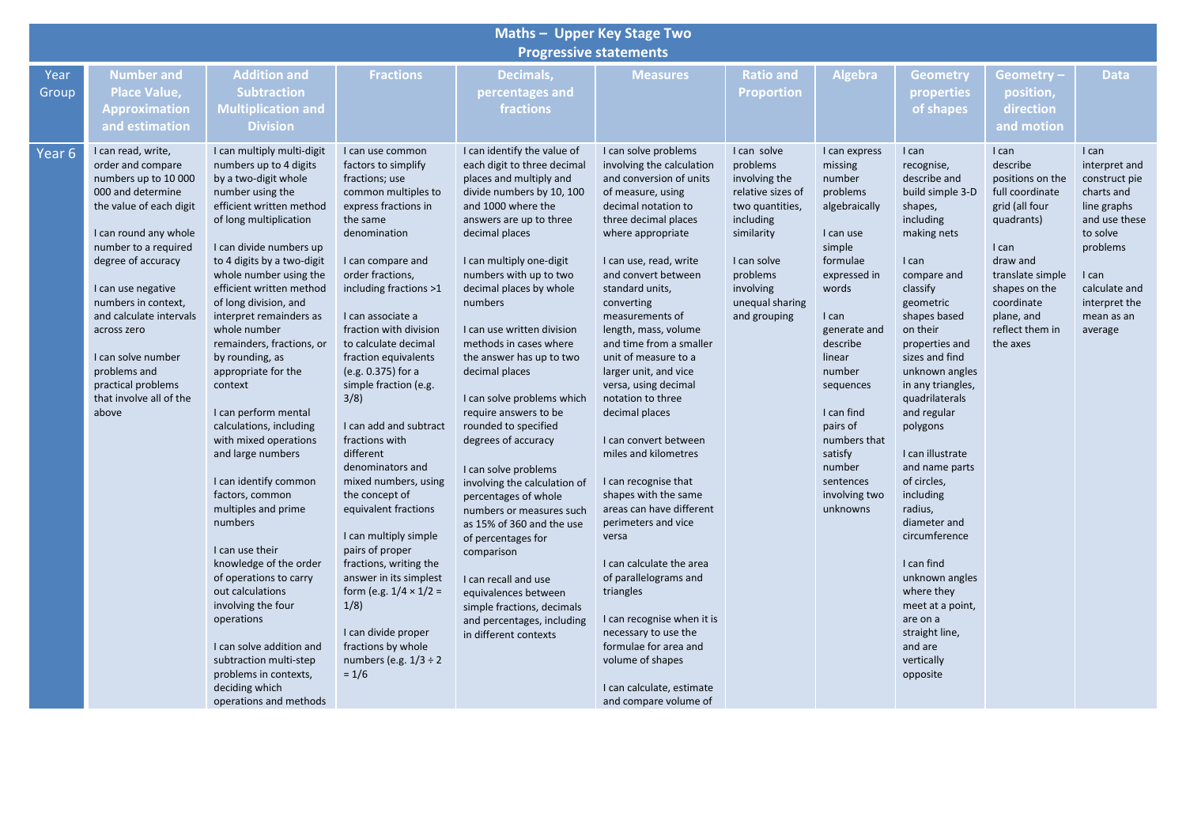| Maths - Upper Key Stage Two<br><b>Progressive statements</b> |                                                                                                                                                                                                                                                                                                                                                                               |                                                                                                                                                                                                                                                                                                                                                                                                                                                                                                                                                                                                                                                                                                                                                                                                                                                                      |                                                                                                                                                                                                                                                                                                                                                                                                                                                                                                                                                                                                                                                                                                                                           |                                                                                                                                                                                                                                                                                                                                                                                                                                                                                                                                                                                                                                                                                                                                                                                                                 |                                                                                                                                                                                                                                                                                                                                                                                                                                                                                                                                                                                                                                                                                                                                                                                                                                       |                                                                                                                                                                                        |                                                                                                                                                                                                                                                                                                            |                                                                                                                                                                                                                                                                                                                                                                                                                                                                                                                                                        |                                                                                                                                                                                                               |                                                                                                                                                                                   |  |  |
|--------------------------------------------------------------|-------------------------------------------------------------------------------------------------------------------------------------------------------------------------------------------------------------------------------------------------------------------------------------------------------------------------------------------------------------------------------|----------------------------------------------------------------------------------------------------------------------------------------------------------------------------------------------------------------------------------------------------------------------------------------------------------------------------------------------------------------------------------------------------------------------------------------------------------------------------------------------------------------------------------------------------------------------------------------------------------------------------------------------------------------------------------------------------------------------------------------------------------------------------------------------------------------------------------------------------------------------|-------------------------------------------------------------------------------------------------------------------------------------------------------------------------------------------------------------------------------------------------------------------------------------------------------------------------------------------------------------------------------------------------------------------------------------------------------------------------------------------------------------------------------------------------------------------------------------------------------------------------------------------------------------------------------------------------------------------------------------------|-----------------------------------------------------------------------------------------------------------------------------------------------------------------------------------------------------------------------------------------------------------------------------------------------------------------------------------------------------------------------------------------------------------------------------------------------------------------------------------------------------------------------------------------------------------------------------------------------------------------------------------------------------------------------------------------------------------------------------------------------------------------------------------------------------------------|---------------------------------------------------------------------------------------------------------------------------------------------------------------------------------------------------------------------------------------------------------------------------------------------------------------------------------------------------------------------------------------------------------------------------------------------------------------------------------------------------------------------------------------------------------------------------------------------------------------------------------------------------------------------------------------------------------------------------------------------------------------------------------------------------------------------------------------|----------------------------------------------------------------------------------------------------------------------------------------------------------------------------------------|------------------------------------------------------------------------------------------------------------------------------------------------------------------------------------------------------------------------------------------------------------------------------------------------------------|--------------------------------------------------------------------------------------------------------------------------------------------------------------------------------------------------------------------------------------------------------------------------------------------------------------------------------------------------------------------------------------------------------------------------------------------------------------------------------------------------------------------------------------------------------|---------------------------------------------------------------------------------------------------------------------------------------------------------------------------------------------------------------|-----------------------------------------------------------------------------------------------------------------------------------------------------------------------------------|--|--|
| Year<br>Group                                                | <b>Number and</b><br><b>Place Value,</b><br><b>Approximation</b><br>and estimation                                                                                                                                                                                                                                                                                            | <b>Addition and</b><br><b>Subtraction</b><br><b>Multiplication and</b><br><b>Division</b>                                                                                                                                                                                                                                                                                                                                                                                                                                                                                                                                                                                                                                                                                                                                                                            | <b>Fractions</b>                                                                                                                                                                                                                                                                                                                                                                                                                                                                                                                                                                                                                                                                                                                          | Decimals,<br>percentages and<br>fractions                                                                                                                                                                                                                                                                                                                                                                                                                                                                                                                                                                                                                                                                                                                                                                       | <b>Measures</b>                                                                                                                                                                                                                                                                                                                                                                                                                                                                                                                                                                                                                                                                                                                                                                                                                       | <b>Ratio and</b><br><b>Proportion</b>                                                                                                                                                  | Algebra                                                                                                                                                                                                                                                                                                    | <b>Geometry</b><br>properties<br>of shapes                                                                                                                                                                                                                                                                                                                                                                                                                                                                                                             | Geometry -<br>position,<br>direction<br>and motion                                                                                                                                                            | <b>Data</b>                                                                                                                                                                       |  |  |
| Year <sub>6</sub>                                            | I can read, write,<br>order and compare<br>numbers up to 10 000<br>000 and determine<br>the value of each digit<br>I can round any whole<br>number to a required<br>degree of accuracy<br>I can use negative<br>numbers in context,<br>and calculate intervals<br>across zero<br>I can solve number<br>problems and<br>practical problems<br>that involve all of the<br>above | I can multiply multi-digit<br>numbers up to 4 digits<br>by a two-digit whole<br>number using the<br>efficient written method<br>of long multiplication<br>I can divide numbers up<br>to 4 digits by a two-digit<br>whole number using the<br>efficient written method<br>of long division, and<br>interpret remainders as<br>whole number<br>remainders, fractions, or<br>by rounding, as<br>appropriate for the<br>context<br>I can perform mental<br>calculations, including<br>with mixed operations<br>and large numbers<br>I can identify common<br>factors, common<br>multiples and prime<br>numbers<br>I can use their<br>knowledge of the order<br>of operations to carry<br>out calculations<br>involving the four<br>operations<br>I can solve addition and<br>subtraction multi-step<br>problems in contexts,<br>deciding which<br>operations and methods | I can use common<br>factors to simplify<br>fractions; use<br>common multiples to<br>express fractions in<br>the same<br>denomination<br>I can compare and<br>order fractions,<br>including fractions >1<br>I can associate a<br>fraction with division<br>to calculate decimal<br>fraction equivalents<br>(e.g. 0.375) for a<br>simple fraction (e.g.<br>3/8<br>I can add and subtract<br>fractions with<br>different<br>denominators and<br>mixed numbers, using<br>the concept of<br>equivalent fractions<br>I can multiply simple<br>pairs of proper<br>fractions, writing the<br>answer in its simplest<br>form (e.g. $1/4 \times 1/2 =$<br>1/8<br>I can divide proper<br>fractions by whole<br>numbers (e.g. $1/3 \div 2$<br>$= 1/6$ | I can identify the value of<br>each digit to three decimal<br>places and multiply and<br>divide numbers by 10, 100<br>and 1000 where the<br>answers are up to three<br>decimal places<br>I can multiply one-digit<br>numbers with up to two<br>decimal places by whole<br>numbers<br>I can use written division<br>methods in cases where<br>the answer has up to two<br>decimal places<br>I can solve problems which<br>require answers to be<br>rounded to specified<br>degrees of accuracy<br>I can solve problems<br>involving the calculation of<br>percentages of whole<br>numbers or measures such<br>as 15% of 360 and the use<br>of percentages for<br>comparison<br>I can recall and use<br>equivalences between<br>simple fractions, decimals<br>and percentages, including<br>in different contexts | I can solve problems<br>involving the calculation<br>and conversion of units<br>of measure, using<br>decimal notation to<br>three decimal places<br>where appropriate<br>I can use, read, write<br>and convert between<br>standard units,<br>converting<br>measurements of<br>length, mass, volume<br>and time from a smaller<br>unit of measure to a<br>larger unit, and vice<br>versa, using decimal<br>notation to three<br>decimal places<br>I can convert between<br>miles and kilometres<br>I can recognise that<br>shapes with the same<br>areas can have different<br>perimeters and vice<br>versa<br>I can calculate the area<br>of parallelograms and<br>triangles<br>I can recognise when it is<br>necessary to use the<br>formulae for area and<br>volume of shapes<br>I can calculate, estimate<br>and compare volume of | I can solve<br>problems<br>involving the<br>relative sizes of<br>two quantities,<br>including<br>similarity<br>I can solve<br>problems<br>involving<br>unequal sharing<br>and grouping | I can express<br>missing<br>number<br>problems<br>algebraically<br>I can use<br>simple<br>formulae<br>expressed in<br>words<br>I can<br>generate and<br>describe<br>linear<br>number<br>sequences<br>I can find<br>pairs of<br>numbers that<br>satisfy<br>number<br>sentences<br>involving two<br>unknowns | I can<br>recognise,<br>describe and<br>build simple 3-D<br>shapes,<br>including<br>making nets<br>I can<br>compare and<br>classify<br>geometric<br>shapes based<br>on their<br>properties and<br>sizes and find<br>unknown angles<br>in any triangles,<br>quadrilaterals<br>and regular<br>polygons<br>I can illustrate<br>and name parts<br>of circles,<br>including<br>radius,<br>diameter and<br>circumference<br>I can find<br>unknown angles<br>where they<br>meet at a point,<br>are on a<br>straight line,<br>and are<br>vertically<br>opposite | I can<br>describe<br>positions on the<br>full coordinate<br>grid (all four<br>quadrants)<br>I can<br>draw and<br>translate simple<br>shapes on the<br>coordinate<br>plane, and<br>reflect them in<br>the axes | I can<br>interpret and<br>construct pie<br>charts and<br>line graphs<br>and use these<br>to solve<br>problems<br>I can<br>calculate and<br>interpret the<br>mean as an<br>average |  |  |